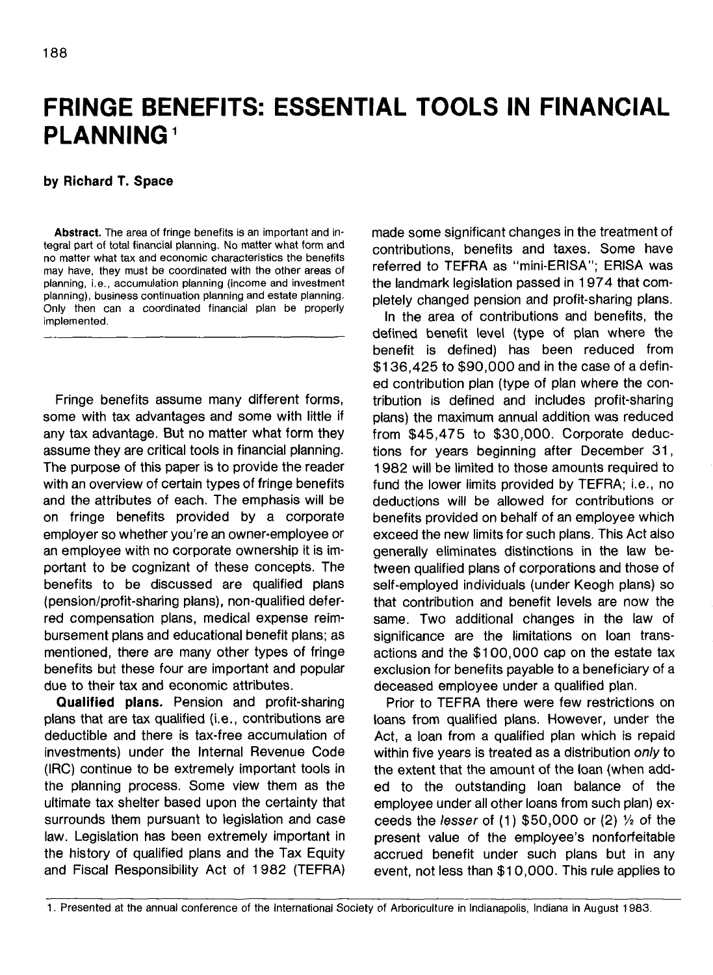## **FRINGE BENEFITS: ESSENTIAL TOOLS IN FINANCIAL PLANNING<sup>1</sup>**

## **by Richard T. Space**

**Abstract.** The area of fringe benefits is an important and integral part of total financial planning. No matter what form and no matter what tax and economic characteristics the benefits may have, they must be coordinated with the other areas of planning, i.e., accumulation planning (income and investment planning), business continuation planning and estate planning. Only then can a coordinated financial plan be properly implemented.

Fringe benefits assume many different forms, some with tax advantages and some with little if any tax advantage. But no matter what form they assume they are critical tools in financial planning. The purpose of this paper is to provide the reader with an overview of certain types of fringe benefits and the attributes of each. The emphasis will be on fringe benefits provided by a corporate employer so whether you're an owner-employee or an employee with no corporate ownership it is important to be cognizant of these concepts. The benefits to be discussed are qualified plans (pension/profit-sharing plans), non-qualified deferred compensation plans, medical expense reimbursement plans and educational benefit plans; as mentioned, there are many other types of fringe benefits but these four are important and popular due to their tax and economic attributes.

**Qualified plans.** Pension and profit-sharing plans that are tax qualified (i.e., contributions are deductible and there is tax-free accumulation of investments) under the Internal Revenue Code (IRC) continue to be extremely important tools in the planning process. Some view them as the ultimate tax shelter based upon the certainty that surrounds them pursuant to legislation and case law. Legislation has been extremely important in the history of qualified plans and the Tax Equity and Fiscal Responsibility Act of 1 982 (TEFRA) made some significant changes in the treatment of contributions, benefits and taxes. Some have referred to TEFRA as "mini-ERISA"; ERISA was the landmark legislation passed in 1 974 that completely changed pension and profit-sharing plans.

In the area of contributions and benefits, the defined benefit level (type of plan where the benefit is defined) has been reduced from \$136,425 to \$90,000 and in the case of a defined contribution plan (type of plan where the contribution is defined and includes profit-sharing plans) the maximum annual addition was reduced from \$45,475 to \$30,000. Corporate deductions for years beginning after December 31, 1982 will be limited to those amounts required to fund the lower limits provided by TEFRA; i.e., no deductions will be allowed for contributions or benefits provided on behalf of an employee which exceed the new limits for such plans. This Act also generally eliminates distinctions in the law between qualified plans of corporations and those of self-employed individuals (under Keogh plans) so that contribution and benefit levels are now the same. Two additional changes in the law of significance are the limitations on loan transactions and the \$100,000 cap on the estate tax exclusion for benefits payable to a beneficiary of a deceased employee under a qualified plan.

Prior to TEFRA there were few restrictions on loans from qualified plans. However, under the Act, a loan from a qualified plan which is repaid within five years is treated as a distribution only to the extent that the amount of the loan (when added to the outstanding loan balance of the employee under all other loans from such plan) exceeds the *lesser* of  $(1)$  \$50,000 or  $(2)$  % of the present value of the employee's nonforfeitable accrued benefit under such plans but in any event, not less than \$10,000. This rule applies to

<sup>1.</sup> Presented at the annual conference of the International Society of Arboriculture in Indianapolis, Indiana in August 1983.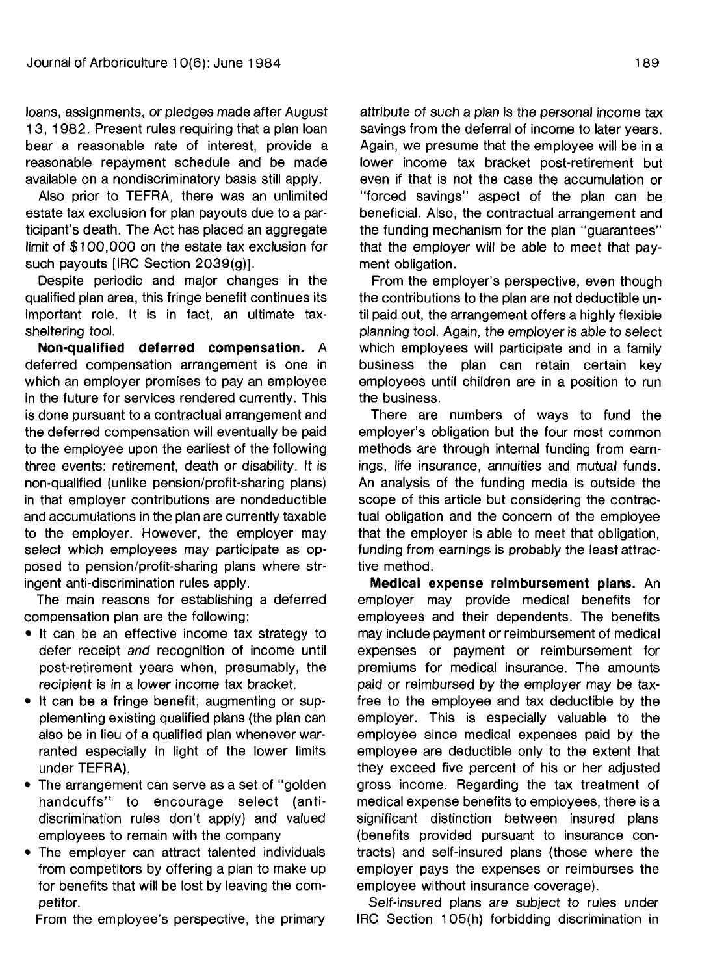loans, assignments, or pledges made after August 13, 1982. Present rules requiring that a plan loan bear a reasonable rate of interest, provide a reasonable repayment schedule and be made available on a nondiscriminatory basis still apply.

Also prior to TEFRA, there was an unlimited estate tax exclusion for plan payouts due to a participant's death. The Act has placed an aggregate limit of \$100,000 on the estate tax exclusion for such payouts [IRC Section 2039(g)].

Despite periodic and major changes in the qualified plan area, this fringe benefit continues its important role. It is in fact, an ultimate taxsheltering tool.

**Non-qualified deferred compensation.** A deferred compensation arrangement is one in which an employer promises to pay an employee in the future for services rendered currently. This is done pursuant to a contractual arrangement and the deferred compensation will eventually be paid to the employee upon the earliest of the following three events: retirement, death or disability. It is non-qualified (unlike pension/profit-sharing plans) in that employer contributions are nondeductible and accumulations in the plan are currently taxable to the employer. However, the employer may select which employees may participate as opposed to pension/profit-sharing plans where stringent anti-discrimination rules apply.

The main reasons for establishing a deferred compensation plan are the following:

- It can be an effective income tax strategy to defer receipt and recognition of income until post-retirement years when, presumably, the recipient is in a lower income tax bracket.
- It can be a fringe benefit, augmenting or supplementing existing qualified plans (the plan can also be in lieu of a qualified plan whenever warranted especially in light of the lower limits under TEFRA).
- The arrangement can serve as a set of "golden" handcuffs" to encourage select (antidiscrimination rules don't apply) and valued employees to remain with the company
- The employer can attract talented individuals from competitors by offering a plan to make up for benefits that will be lost by leaving the competitor.

From the employee's perspective, the primary

attribute of such a plan is the personal income tax savings from the deferral of income to later years. Again, we presume that the employee will be in a lower income tax bracket post-retirement but even if that is not the case the accumulation or "forced savings" aspect of the plan can be beneficial. Also, the contractual arrangement and the funding mechanism for the plan "guarantees" that the employer will be able to meet that payment obligation.

From the employer's perspective, even though the contributions to the plan are not deductible until paid out, the arrangement offers a highly flexible planning tool. Again, the employer is able to select which employees will participate and in a family business the plan can retain certain key employees until children are in a position to run the business.

There are numbers of ways to fund the employer's obligation but the four most common methods are through internal funding from earnings, life insurance, annuities and mutual funds. An analysis of the funding media is outside the scope of this article but considering the contractual obligation and the concern of the employee that the employer is able to meet that obligation, funding from earnings is probably the least attractive method.

**Medical expense reimbursement plans.** An employer may provide medical benefits for employees and their dependents. The benefits may include payment or reimbursement of medical expenses or payment or reimbursement for premiums for medical insurance. The amounts paid or reimbursed by the employer may be taxfree to the employee and tax deductible by the employer. This is especially valuable to the employee since medical expenses paid by the employee are deductible only to the extent that they exceed five percent of his or her adjusted gross income. Regarding the tax treatment of medical expense benefits to employees, there is a significant distinction between insured plans (benefits provided pursuant to insurance contracts) and self-insured plans (those where the employer pays the expenses or reimburses the employee without insurance coverage).

Self-insured plans are subject to rules under IRC Section 105(h) forbidding discrimination in